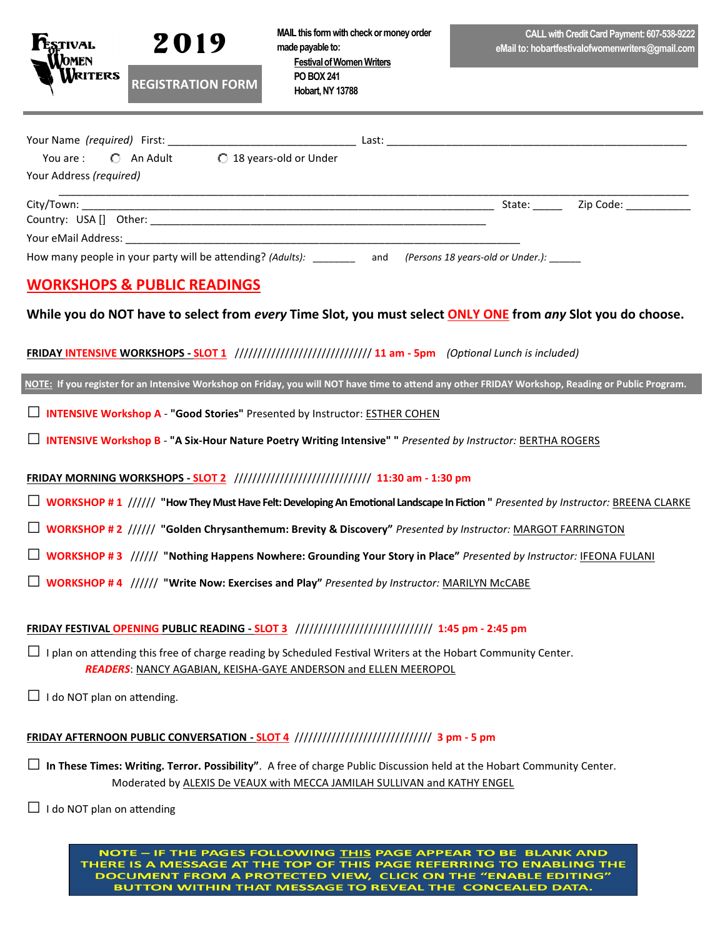

**MAIL this form with check or money order made payable to: Festival of Women Writers PO BOX 241** 

 **Hobart, NY 13788**

| <b>REGISTRATION FORM</b> |  |
|--------------------------|--|
|                          |  |

| Your Name (required) First:                                                                                                                                                                                                    |                         | Last: |        |                                                                                                               |
|--------------------------------------------------------------------------------------------------------------------------------------------------------------------------------------------------------------------------------|-------------------------|-------|--------|---------------------------------------------------------------------------------------------------------------|
| You are : $\Box$ An Adult                                                                                                                                                                                                      | ○ 18 years-old or Under |       |        |                                                                                                               |
| Your Address (required)                                                                                                                                                                                                        |                         |       |        |                                                                                                               |
|                                                                                                                                                                                                                                |                         |       |        |                                                                                                               |
|                                                                                                                                                                                                                                |                         |       | State: | Zip Code: The Said of the Said of the Said of the Said of the Said of the Said of the Said of the Said of the |
| Country: USA [] Other: Note of the state of the state of the state of the state of the state of the state of the state of the state of the state of the state of the state of the state of the state of the state of the state |                         |       |        |                                                                                                               |

How many people in your party will be attending? *(Adults):* \_\_\_\_\_\_\_\_ and *(Persons 18 years-old or Under.):* \_\_\_\_\_\_

# **WORKSHOPS & PUBLIC READINGS**

**While you do NOT have to select from** *every* **Time Slot, you must select ONLY ONE from** *any* **Slot you do choose.**

### **FRIDAY INTENSIVE WORKSHOPS - SLOT 1** ////////////////////////////// **11 am - 5pm** *(Optional Lunch is included)*

**NOTE: If you register for an Intensive Workshop on Friday, you will NOT have time to attend any other FRIDAY Workshop, Reading or Public Program.**

□ **INTENSIVE Workshop A** - **"Good Stories"** Presented by Instructor: ESTHER COHEN

□ **INTENSIVE Workshop B** - **"A Six-Hour Nature Poetry Writing Intensive" "** *Presented by Instructor:* BERTHA ROGERS

### **FRIDAY MORNING WORKSHOPS - SLOT 2** ////////////////////////////// **11:30 am - 1:30 pm**

□ **WORKSHOP # 1** ////// **"How They Must Have Felt: Developing An Emotional Landscape In Fiction "** *Presented by Instructor:* BREENA CLARKE

□ **WORKSHOP # 2** ////// **"Golden Chrysanthemum: Brevity & Discovery"** *Presented by Instructor:* MARGOT FARRINGTON

- □ **WORKSHOP # 3** ////// **"Nothing Happens Nowhere: Grounding Your Story in Place"** *Presented by Instructor:* IFEONA FULANI
- □ **WORKSHOP # 4** ////// **"Write Now: Exercises and Play"** *Presented by Instructor:* MARILYN McCABE

## **FRIDAY FESTIVAL OPENING PUBLIC READING - SLOT 3** ////////////////////////////// **1:45 pm - 2:45 pm**

 $\Box$  I plan on attending this free of charge reading by Scheduled Festival Writers at the Hobart Community Center. *READERS*: NANCY AGABIAN, KEISHA-GAYE ANDERSON and ELLEN MEEROPOL

 $\Box$  I do NOT plan on attending.

## **FRIDAY AFTERNOON PUBLIC CONVERSATION - SLOT 4** ////////////////////////////// **3 pm - 5 pm**

□ **In These Times: Writing. Terror. Possibility"**. A free of charge Public Discussion held at the Hobart Community Center. Moderated by ALEXIS De VEAUX with MECCA JAMILAH SULLIVAN and KATHY ENGEL

 $\Box$  I do NOT plan on attending

NOTE - IF THE PAGES FOLLOWING THIS PAGE APPEAR TO BE BLANK AND THERE IS A MESSAGE AT THE TOP OF THIS PAGE REFERRING TO ENABLING THE DOCUMENT FROM A PROTECTED VIEW, CLICK ON THE "ENABLE EDITING" BUTTON WITHIN THAT MESSAGE TO REVEAL THE CONCEALED DATA.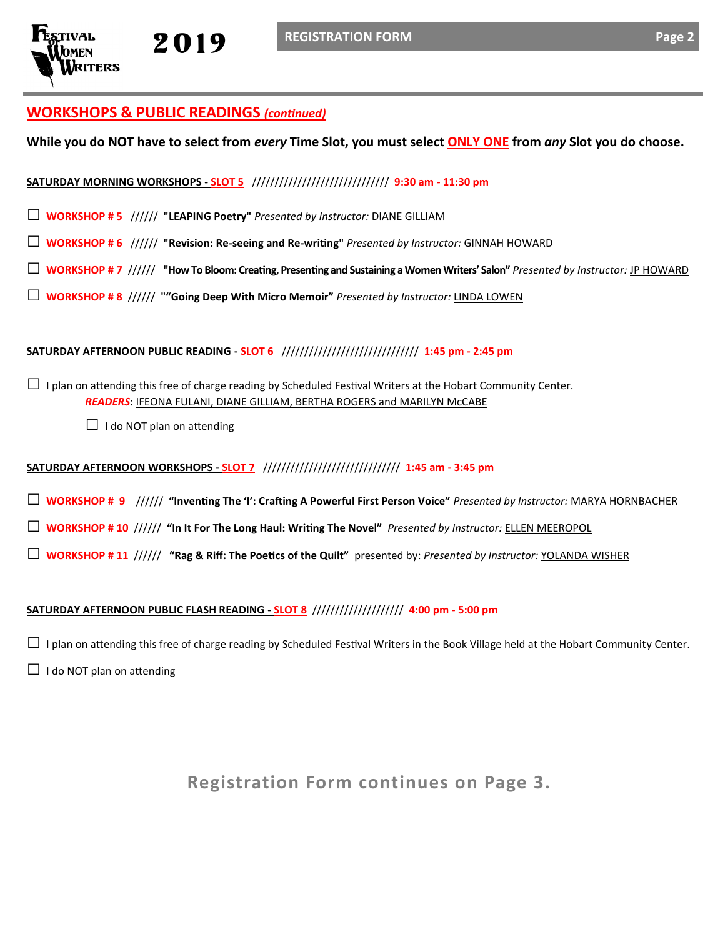## **WORKSHOPS & PUBLIC READINGS** *(continued)*

**While you do NOT have to select from** *every* **Time Slot, you must select ONLY ONE from** *any* **Slot you do choose.**

#### **SATURDAY MORNING WORKSHOPS - SLOT 5** ////////////////////////////// **9:30 am - 11:30 pm**

- □ **WORKSHOP # 5** ////// **"LEAPING Poetry"** *Presented by Instructor:* DIANE GILLIAM
- □ **WORKSHOP # 6** ////// **"Revision: Re-seeing and Re-writing"** *Presented by Instructor:* GINNAH HOWARD
- □ **WORKSHOP # 7** ////// **"How To Bloom: Creating, Presenting and Sustaining a Women Writers' Salon"** *Presented by Instructor:* JP HOWARD
- □ **WORKSHOP # 8** ////// **""Going Deep With Micro Memoir"** *Presented by Instructor:* LINDA LOWEN

#### **SATURDAY AFTERNOON PUBLIC READING - SLOT 6** ////////////////////////////// **1:45 pm - 2:45 pm**

 $\Box$  I plan on attending this free of charge reading by Scheduled Festival Writers at the Hobart Community Center. *READERS*: IFEONA FULANI, DIANE GILLIAM, BERTHA ROGERS and MARILYN McCABE

 $\Box$  I do NOT plan on attending

#### **SATURDAY AFTERNOON WORKSHOPS - SLOT 7** ////////////////////////////// **1:45 am - 3:45 pm**

- □ **WORKSHOP # 9** ////// **"Inventing The 'I': Crafting A Powerful First Person Voice"** *Presented by Instructor:* MARYA HORNBACHER
- □ **WORKSHOP # 10** ////// **"In It For The Long Haul: Writing The Novel"** *Presented by Instructor:* ELLEN MEEROPOL
- □ **WORKSHOP # 11** ////// **"Rag & Riff: The Poetics of the Quilt"** presented by: *Presented by Instructor:* YOLANDA WISHER

#### **SATURDAY AFTERNOON PUBLIC FLASH READING - SLOT 8** //////////////////// **4:00 pm - 5:00 pm**

 $\Box$  I plan on attending this free of charge reading by Scheduled Festival Writers in the Book Village held at the Hobart Community Center.

 $\Box$  I do NOT plan on attending

**Registration Form continues on Page 3.**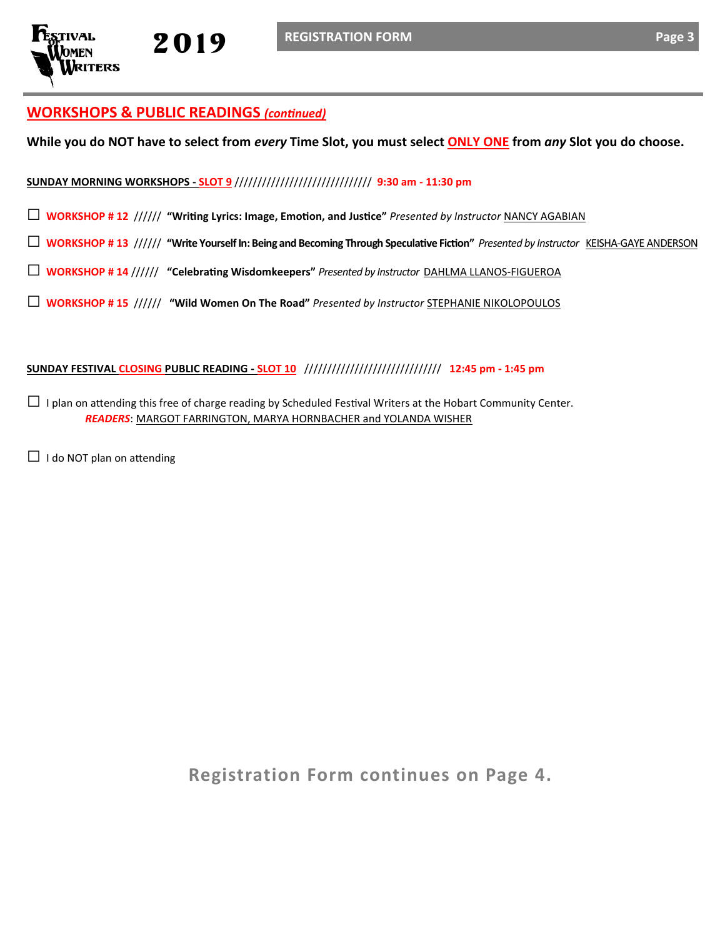

## **WORKSHOPS & PUBLIC READINGS** *(continued)*

**While you do NOT have to select from** *every* **Time Slot, you must select ONLY ONE from** *any* **Slot you do choose.**

#### **SUNDAY MORNING WORKSHOPS - SLOT 9** ////////////////////////////// **9:30 am - 11:30 pm**

- □ **WORKSHOP # 12** ////// **"Writing Lyrics: Image, Emotion, and Justice"** *Presented by Instructor* NANCY AGABIAN
- □ **WORKSHOP # 13** ////// **"Write Yourself In: Being and Becoming Through Speculative Fiction"** *Presented by Instructor* KEISHA-GAYE ANDERSON
- □ **WORKSHOP # 14** ////// **"Celebrating Wisdomkeepers"** *Presented by Instructor* DAHLMA LLANOS-FIGUEROA
- □ **WORKSHOP # 15** ////// **"Wild Women On The Road"** *Presented by Instructor* STEPHANIE NIKOLOPOULOS

#### **SUNDAY FESTIVAL CLOSING PUBLIC READING - SLOT 10** ////////////////////////////// **12:45 pm - 1:45 pm**

- $\Box$  I plan on attending this free of charge reading by Scheduled Festival Writers at the Hobart Community Center. *READERS*: MARGOT FARRINGTON, MARYA HORNBACHER and YOLANDA WISHER
- $\Box$  I do NOT plan on attending

**Registration Form continues on Page 4.**